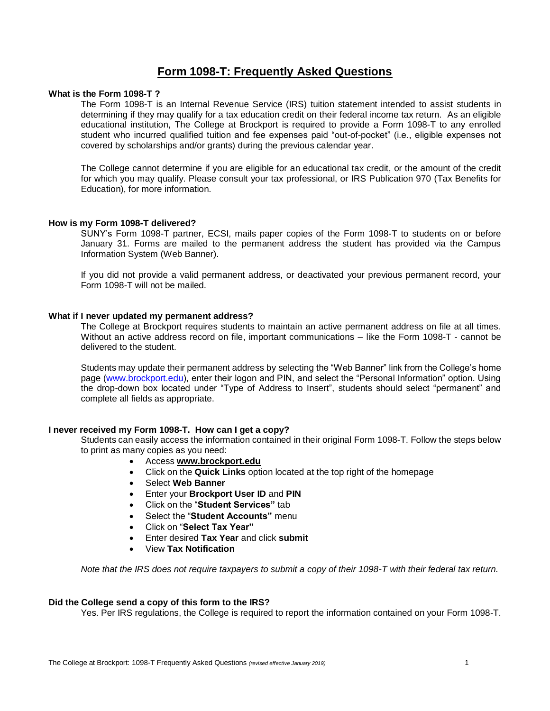# **Form 1098-T: Frequently Asked Questions**

# **What is the Form 1098-T ?**

 The Form 1098-T is an Internal Revenue Service (IRS) tuition statement intended to assist students in determining if they may qualify for a tax education credit on their federal income tax return. As an eligible educational institution, The College at Brockport is required to provide a Form 1098-T to any enrolled student who incurred qualified tuition and fee expenses paid "out-of-pocket" (i.e., eligible expenses not covered by scholarships and/or grants) during the previous calendar year.

 The College cannot determine if you are eligible for an educational tax credit, or the amount of the credit for which you may qualify. Please consult your tax professional, or IRS Publication 970 (Tax Benefits for Education), for more information.

## **How is my Form 1098-T delivered?**

 SUNY's Form 1098-T partner, ECSI, mails paper copies of the Form 1098-T to students on or before January 31. Forms are mailed to the permanent address the student has provided via the Campus Information System (Web Banner).

 If you did not provide a valid permanent address, or deactivated your previous permanent record, your Form 1098-T will not be mailed.

## **What if I never updated my permanent address?**

 The College at Brockport requires students to maintain an active permanent address on file at all times. Without an active address record on file, important communications – like the Form 1098-T - cannot be delivered to the student.

 Students may update their permanent address by selecting the "Web Banner" link from the College's home page [\(www.brockport.edu](www.brockport.edu)), enter their logon and PIN, and select the "Personal Information" option. Using the drop-down box located under "Type of Address to Insert", students should select "permanent" and complete all fields as appropriate.

#### **I never received my Form 1098-T. How can I get a copy?**

 Students can easily access the information contained in their original Form 1098-T. Follow the steps below to print as many copies as you need:

- Access **[www.brockport.edu](http://www.brockport.edu/)**
- Click on the **Quick Links** option located at the top right of the homepage
- Select **Web Banner**
- Enter your **Brockport User ID** and **PIN**
- Click on the "**Student Services"** tab
- Select the "**Student Accounts"** menu
- Click on "**Select Tax Year"**
- Enter desired **Tax Year** and click **submit**
- View **Tax Notification**

*Note that the IRS does not require taxpayers to submit a copy of their 1098-T with their federal tax return.* 

### **Did the College send a copy of this form to the IRS?**

Yes. Per IRS regulations, the College is required to report the information contained on your Form 1098-T.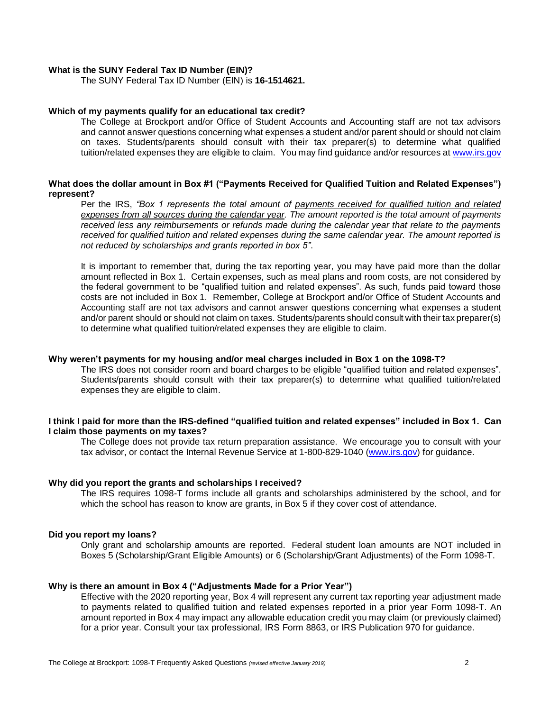#### **What is the SUNY Federal Tax ID Number (EIN)?**

The SUNY Federal Tax ID Number (EIN) is **16-1514621.** 

### **Which of my payments qualify for an educational tax credit?**

 The College at Brockport and/or Office of Student Accounts and Accounting staff are not tax advisors and cannot answer questions concerning what expenses a student and/or parent should or should not claim on taxes. Students/parents should consult with their tax preparer(s) to determine what qualified tuition/related expenses they are eligible to claim. You may find guidance and/or resources at www.irs.gov

# **What does the dollar amount in Box #1 ("Payments Received for Qualified Tuition and Related Expenses") represent?**

 Per the IRS, *"Box 1 represents the total amount of payments received for qualified tuition and related received less any reimbursements or refunds made during the calendar year that relate to the payments expenses from all sources during the calendar year. The amount reported is the total amount of payments received for qualified tuition and related expenses during the same calendar year. The amount reported is not reduced by scholarships and grants reported in box 5"*.

 It is important to remember that, during the tax reporting year, you may have paid more than the dollar amount reflected in Box 1. Certain expenses, such as meal plans and room costs, are not considered by the federal government to be "qualified tuition and related expenses". As such, funds paid toward those costs are not included in Box 1. Remember, College at Brockport and/or Office of Student Accounts and Accounting staff are not tax advisors and cannot answer questions concerning what expenses a student and/or parent should or should not claim on taxes. Students/parents should consult with their tax preparer(s) to determine what qualified tuition/related expenses they are eligible to claim.

#### **Why weren't payments for my housing and/or meal charges included in Box 1 on the 1098-T?**

 Students/parents should consult with their tax preparer(s) to determine what qualified tuition/related The IRS does not consider room and board charges to be eligible "qualified tuition and related expenses". expenses they are eligible to claim.

### **I think I paid for more than the IRS-defined "qualified tuition and related expenses" included in Box 1. Can I claim those payments on my taxes?**

 The College does not provide tax return preparation assistance. We encourage you to consult with your tax advisor, or contact the Internal Revenue Service at 1-800-829-1040 [\(www.irs.gov\)](http://www.irs.gov/) for guidance.

#### **Why did you report the grants and scholarships I received?**

 The IRS requires 1098-T forms include all grants and scholarships administered by the school, and for which the school has reason to know are grants, in Box 5 if they cover cost of attendance.

#### **Did you report my loans?**

 Only grant and scholarship amounts are reported. Federal student loan amounts are NOT included in Boxes 5 (Scholarship/Grant Eligible Amounts) or 6 (Scholarship/Grant Adjustments) of the Form 1098-T.

### **Why is there an amount in Box 4 ("Adjustments Made for a Prior Year")**

 Effective with the 2020 reporting year, Box 4 will represent any current tax reporting year adjustment made to payments related to qualified tuition and related expenses reported in a prior year Form 1098-T. An amount reported in Box 4 may impact any allowable education credit you may claim (or previously claimed) for a prior year. Consult your tax professional, IRS Form 8863, or IRS Publication 970 for guidance.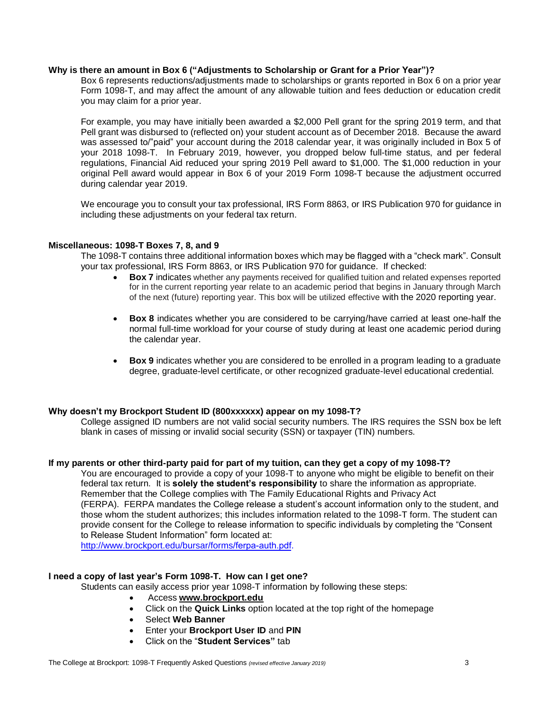# **Why is there an amount in Box 6 ("Adjustments to Scholarship or Grant for a Prior Year")?**

 Box 6 represents reductions/adjustments made to scholarships or grants reported in Box 6 on a prior year Form 1098-T, and may affect the amount of any allowable tuition and fees deduction or education credit you may claim for a prior year.

 For example, you may have initially been awarded a \$2,000 Pell grant for the spring 2019 term, and that was assessed to/"paid" your account during the 2018 calendar year, it was originally included in Box 5 of your 2018 1098-T. In February 2019, however, you dropped below full-time status, and per federal regulations, Financial Aid reduced your spring 2019 Pell award to \$1,000. The \$1,000 reduction in your original Pell award would appear in Box 6 of your 2019 Form 1098-T because the adjustment occurred Pell grant was disbursed to (reflected on) your student account as of December 2018. Because the award during calendar year 2019.

 We encourage you to consult your tax professional, IRS Form 8863, or IRS Publication 970 for guidance in including these adjustments on your federal tax return.

## **Miscellaneous: 1098-T Boxes 7, 8, and 9**

 The 1098-T contains three additional information boxes which may be flagged with a "check mark". Consult your tax professional, IRS Form 8863, or IRS Publication 970 for guidance. If checked:

- • **Box 7** indicates whether any payments received for qualified tuition and related expenses reported for in the current reporting year relate to an academic period that begins in January through March of the next (future) reporting year. This box will be utilized effective with the 2020 reporting year.
- • **Box 8** indicates whether you are considered to be carrying/have carried at least one-half the normal full-time workload for your course of study during at least one academic period during the calendar year.
- • **Box 9** indicates whether you are considered to be enrolled in a program leading to a graduate degree, graduate-level certificate, or other recognized graduate-level educational credential.

# **Why doesn't my Brockport Student ID (800xxxxxx) appear on my 1098-T?**

 College assigned ID numbers are not valid social security numbers. The IRS requires the SSN box be left blank in cases of missing or invalid social security (SSN) or taxpayer (TIN) numbers.

#### **If my parents or other third-party paid for part of my tuition, can they get a copy of my 1098-T?**

 You are encouraged to provide a copy of your 1098-T to anyone who might be eligible to benefit on their federal tax return. It is **solely the student's responsibility** to share the information as appropriate. (FERPA). FERPA mandates the College release a student's account information only to the student, and those whom the student authorizes; this includes information related to the 1098-T form. The student can Remember that the College complies with The Family Educational Rights and Privacy Act provide consent for the College to release information to specific individuals by completing the "Consent to Release Student Information" form located at:

[http://www.brockport.edu/bursar/forms/](http://www.brockport.edu/bursar/forms/ferpa-auth.pdf)ferpa-auth.pdf.

### **I need a copy of last year's Form 1098-T. How can I get one?**

Students can easily access prior year 1098-T information by following these steps:

- Access **[www.brockport.edu](http://www.brockport.edu/)**
- Click on the **Quick Links** option located at the top right of the homepage
- Select **Web Banner**
- Enter your **Brockport User ID** and **PIN**
- Click on the "**Student Services"** tab